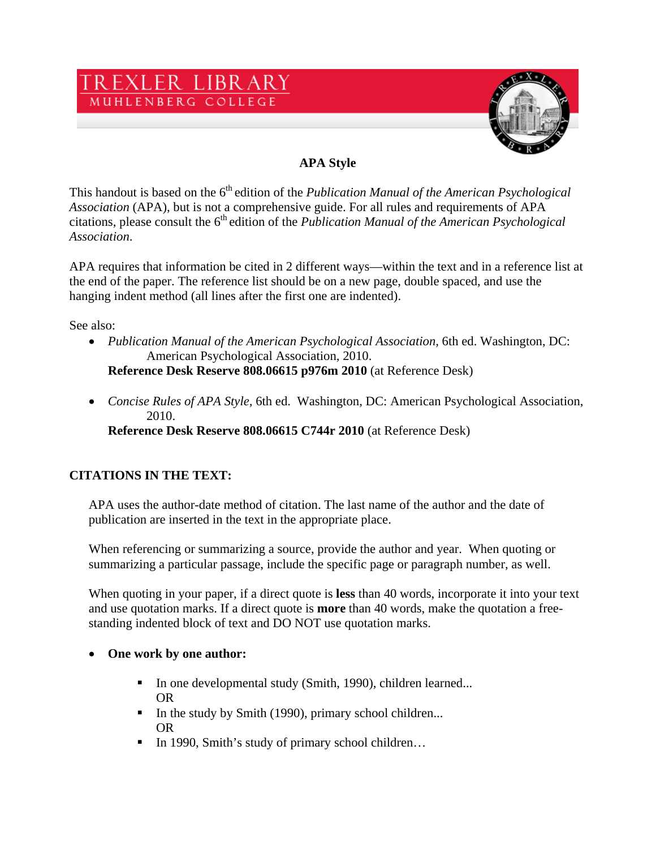



# **APA Style**

This handout is based on the 6<sup>th</sup> edition of the *Publication Manual of the American Psychological Association* (APA), but is not a comprehensive guide. For all rules and requirements of APA citations, please consult the 6<sup>th</sup> edition of the *Publication Manual of the American Psychological Association*.

APA requires that information be cited in 2 different ways—within the text and in a reference list at the end of the paper. The reference list should be on a new page, double spaced, and use the hanging indent method (all lines after the first one are indented).

See also:

• *Publication Manual of the American Psychological Association, 6th ed. Washington, DC:* American Psychological Association, 2010.

**Reference Desk Reserve 808.06615 p976m 2010** (at Reference Desk)

• *Concise Rules of APA Style, 6th ed.* Washington, DC: American Psychological Association, 2010.

**Reference Desk Reserve 808.06615 C744r 2010** (at Reference Desk)

# **CITATIONS IN THE TEXT:**

APA uses the author-date method of citation. The last name of the author and the date of publication are inserted in the text in the appropriate place.

When referencing or summarizing a source, provide the author and year. When quoting or summarizing a particular passage, include the specific page or paragraph number, as well.

When quoting in your paper, if a direct quote is **less** than 40 words, incorporate it into your text and use quotation marks. If a direct quote is **more** than 40 words, make the quotation a freestanding indented block of text and DO NOT use quotation marks.

#### • **One work by one author:**

- In one developmental study (Smith, 1990), children learned... OR
- In the study by Smith (1990), primary school children... OR
- In 1990, Smith's study of primary school children…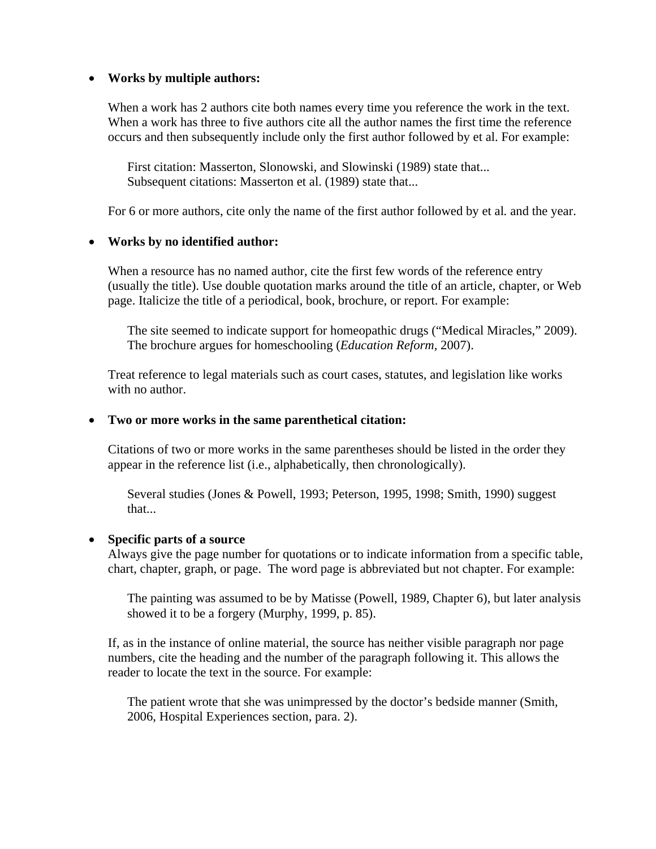#### • **Works by multiple authors:**

When a work has 2 authors cite both names every time you reference the work in the text. When a work has three to five authors cite all the author names the first time the reference occurs and then subsequently include only the first author followed by et al. For example:

First citation: Masserton, Slonowski, and Slowinski (1989) state that... Subsequent citations: Masserton et al. (1989) state that...

For 6 or more authors, cite only the name of the first author followed by et al*.* and the year.

#### • **Works by no identified author:**

When a resource has no named author, cite the first few words of the reference entry (usually the title). Use double quotation marks around the title of an article, chapter, or Web page. Italicize the title of a periodical, book, brochure, or report. For example:

The site seemed to indicate support for homeopathic drugs ("Medical Miracles," 2009). The brochure argues for homeschooling (*Education Reform,* 2007).

Treat reference to legal materials such as court cases, statutes, and legislation like works with no author.

#### • **Two or more works in the same parenthetical citation:**

Citations of two or more works in the same parentheses should be listed in the order they appear in the reference list (i.e., alphabetically, then chronologically).

Several studies (Jones & Powell, 1993; Peterson, 1995, 1998; Smith, 1990) suggest that...

#### • **Specific parts of a source**

Always give the page number for quotations or to indicate information from a specific table, chart, chapter, graph, or page. The word page is abbreviated but not chapter. For example:

The painting was assumed to be by Matisse (Powell, 1989, Chapter 6), but later analysis showed it to be a forgery (Murphy, 1999, p. 85).

If, as in the instance of online material, the source has neither visible paragraph nor page numbers, cite the heading and the number of the paragraph following it. This allows the reader to locate the text in the source. For example:

The patient wrote that she was unimpressed by the doctor's bedside manner (Smith, 2006, Hospital Experiences section, para. 2).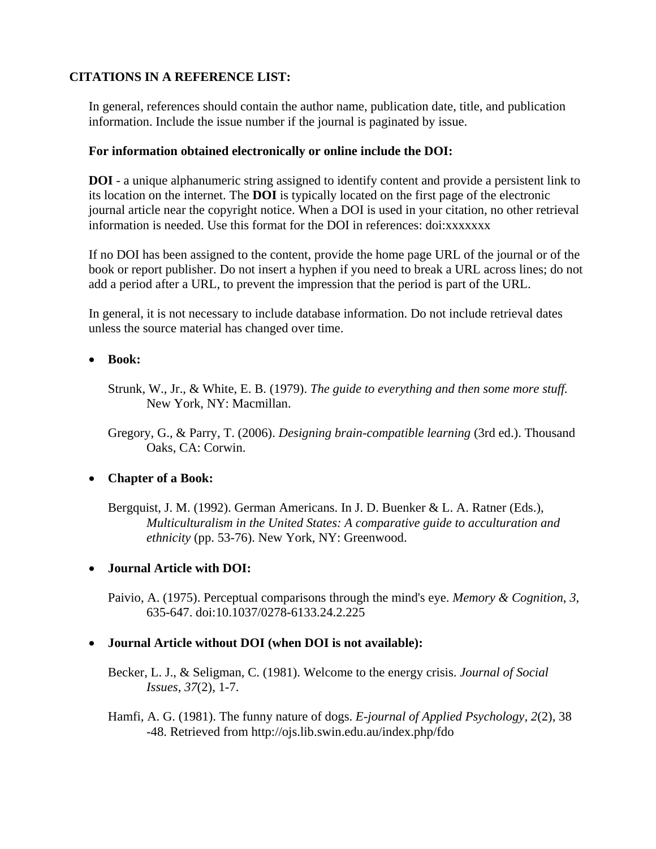# **CITATIONS IN A REFERENCE LIST:**

In general, references should contain the author name, publication date, title, and publication information. Include the issue number if the journal is paginated by issue.

# **For information obtained electronically or online include the DOI:**

**DOI** - a unique alphanumeric string assigned to identify content and provide a persistent link to its location on the internet. The **DOI** is typically located on the first page of the electronic journal article near the copyright notice. When a DOI is used in your citation, no other retrieval information is needed. Use this format for the DOI in references: doi:xxxxxxx

If no DOI has been assigned to the content, provide the home page URL of the journal or of the book or report publisher. Do not insert a hyphen if you need to break a URL across lines; do not add a period after a URL, to prevent the impression that the period is part of the URL.

In general, it is not necessary to include database information. Do not include retrieval dates unless the source material has changed over time.

#### • **Book:**

- Strunk, W., Jr., & White, E. B. (1979). *The guide to everything and then some more stuff.*  New York, NY: Macmillan.
- Gregory, G., & Parry, T. (2006). *Designing brain-compatible learning* (3rd ed.). Thousand Oaks, CA: Corwin.

# • **Chapter of a Book:**

Bergquist, J. M. (1992). German Americans. In J. D. Buenker & L. A. Ratner (Eds.), *Multiculturalism in the United States: A comparative guide to acculturation and ethnicity* (pp. 53-76). New York, NY: Greenwood.

# • **Journal Article with DOI:**

Paivio, A. (1975). Perceptual comparisons through the mind's eye. *Memory & Cognition*, *3*, 635-647. doi:10.1037/0278-6133.24.2.225

# • **Journal Article without DOI (when DOI is not available):**

Becker, L. J., & Seligman, C. (1981). Welcome to the energy crisis. *Journal of Social Issues*, *37*(2), 1-7.

Hamfi, A. G. (1981). The funny nature of dogs. *E-journal of Applied Psychology, 2*(2), 38 -48. Retrieved from http://ojs.lib.swin.edu.au/index.php/fdo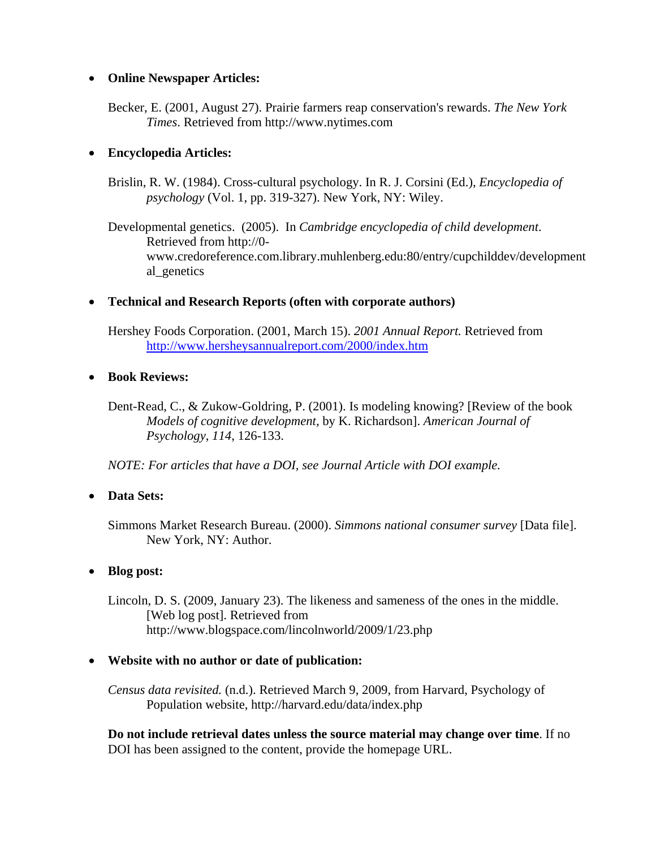#### • **Online Newspaper Articles:**

Becker, E. (2001, August 27). Prairie farmers reap conservation's rewards. *The New York Times*. Retrieved from http://www.nytimes.com

# • **Encyclopedia Articles:**

Brislin, R. W. (1984). Cross-cultural psychology. In R. J. Corsini (Ed.), *Encyclopedia of psychology* (Vol. 1, pp. 319-327). New York, NY: Wiley.

Developmental genetics. (2005). In *Cambridge encyclopedia of child development*. Retrieved from http://0 www.credoreference.com.library.muhlenberg.edu:80/entry/cupchilddev/development al\_genetics

#### • **Technical and Research Reports (often with corporate authors)**

Hershey Foods Corporation. (2001, March 15). *2001 Annual Report.* Retrieved from <http://www.hersheysannualreport.com/2000/index.htm>

#### • **Book Reviews:**

Dent-Read, C., & Zukow-Goldring, P. (2001). Is modeling knowing? [Review of the book *Models of cognitive development,* by K. Richardson]. *American Journal of Psychology*, *114*, 126-133.

*NOTE: For articles that have a DOI, see Journal Article with DOI example.* 

# • **Data Sets:**

Simmons Market Research Bureau. (2000). *Simmons national consumer survey* [Data file]. New York, NY: Author.

# • **Blog post:**

Lincoln, D. S. (2009, January 23). The likeness and sameness of the ones in the middle. [Web log post]. Retrieved from http://www.blogspace.com/lincolnworld/2009/1/23.php

# • **Website with no author or date of publication:**

*Census data revisited.* (n.d.). Retrieved March 9, 2009, from Harvard, Psychology of Population website, http://harvard.edu/data/index.php

**Do not include retrieval dates unless the source material may change over time**. If no DOI has been assigned to the content, provide the homepage URL.